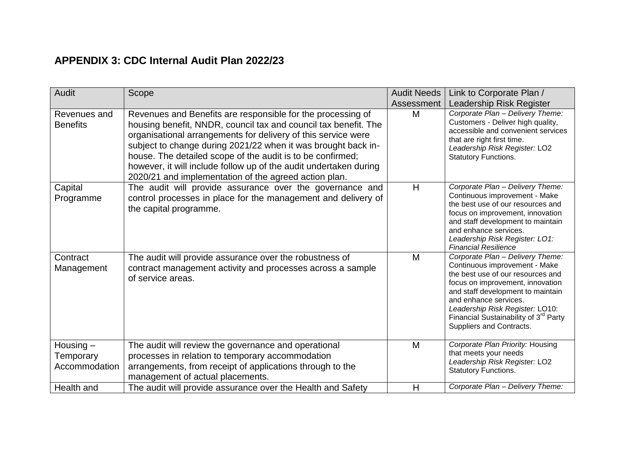## **APPENDIX 3: CDC Internal Audit Plan 2022/23**

| Audit                                     | Scope                                                                                                                                                                                                                                                                                                                                                                                                                                                        | <b>Audit Needs</b> | Link to Corporate Plan /                                                                                                                                                                                                                                                                                                     |
|-------------------------------------------|--------------------------------------------------------------------------------------------------------------------------------------------------------------------------------------------------------------------------------------------------------------------------------------------------------------------------------------------------------------------------------------------------------------------------------------------------------------|--------------------|------------------------------------------------------------------------------------------------------------------------------------------------------------------------------------------------------------------------------------------------------------------------------------------------------------------------------|
|                                           |                                                                                                                                                                                                                                                                                                                                                                                                                                                              | Assessment         | Leadership Risk Register                                                                                                                                                                                                                                                                                                     |
| Revenues and<br><b>Benefits</b>           | Revenues and Benefits are responsible for the processing of<br>housing benefit, NNDR, council tax and council tax benefit. The<br>organisational arrangements for delivery of this service were<br>subject to change during 2021/22 when it was brought back in-<br>house. The detailed scope of the audit is to be confirmed;<br>however, it will include follow up of the audit undertaken during<br>2020/21 and implementation of the agreed action plan. | M                  | Corporate Plan - Delivery Theme:<br>Customers - Deliver high quality,<br>accessible and convenient services<br>that are right first time.<br>Leadership Risk Register: LO2<br><b>Statutory Functions.</b>                                                                                                                    |
| Capital<br>Programme                      | The audit will provide assurance over the governance and<br>control processes in place for the management and delivery of<br>the capital programme.                                                                                                                                                                                                                                                                                                          | H                  | Corporate Plan - Delivery Theme:<br>Continuous improvement - Make<br>the best use of our resources and<br>focus on improvement, innovation<br>and staff development to maintain<br>and enhance services.<br>Leadership Risk Register: LO1:<br><b>Financial Resilience</b>                                                    |
| Contract<br>Management                    | The audit will provide assurance over the robustness of<br>contract management activity and processes across a sample<br>of service areas.                                                                                                                                                                                                                                                                                                                   | M                  | Corporate Plan - Delivery Theme:<br>Continuous improvement - Make<br>the best use of our resources and<br>focus on improvement, innovation<br>and staff development to maintain<br>and enhance services.<br>Leadership Risk Register: LO10:<br>Financial Sustainability of 3 <sup>rd</sup> Party<br>Suppliers and Contracts. |
| Housing $-$<br>Temporary<br>Accommodation | The audit will review the governance and operational<br>processes in relation to temporary accommodation<br>arrangements, from receipt of applications through to the<br>management of actual placements.                                                                                                                                                                                                                                                    | M                  | Corporate Plan Priority: Housing<br>that meets your needs<br>Leadership Risk Register: LO2<br><b>Statutory Functions.</b>                                                                                                                                                                                                    |
| Health and                                | The audit will provide assurance over the Health and Safety                                                                                                                                                                                                                                                                                                                                                                                                  | H                  | Corporate Plan - Delivery Theme:                                                                                                                                                                                                                                                                                             |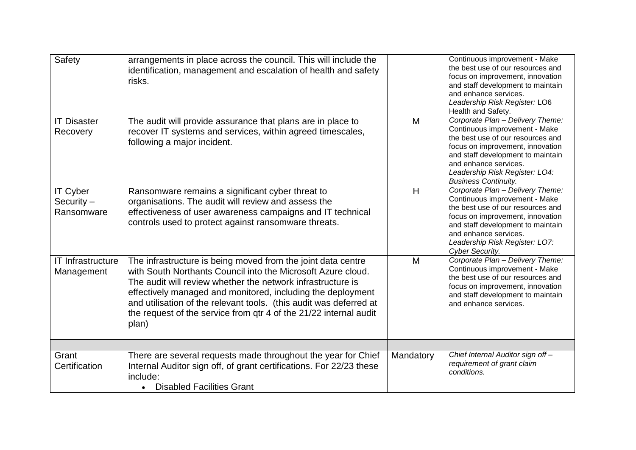| Safety                                        | arrangements in place across the council. This will include the<br>identification, management and escalation of health and safety<br>risks.                                                                                                                                                                                                                                                                    |           | Continuous improvement - Make<br>the best use of our resources and<br>focus on improvement, innovation<br>and staff development to maintain<br>and enhance services.<br>Leadership Risk Register: LO6<br>Health and Safety.                                               |
|-----------------------------------------------|----------------------------------------------------------------------------------------------------------------------------------------------------------------------------------------------------------------------------------------------------------------------------------------------------------------------------------------------------------------------------------------------------------------|-----------|---------------------------------------------------------------------------------------------------------------------------------------------------------------------------------------------------------------------------------------------------------------------------|
| <b>IT Disaster</b><br>Recovery                | The audit will provide assurance that plans are in place to<br>recover IT systems and services, within agreed timescales,<br>following a major incident.                                                                                                                                                                                                                                                       | M         | Corporate Plan - Delivery Theme:<br>Continuous improvement - Make<br>the best use of our resources and<br>focus on improvement, innovation<br>and staff development to maintain<br>and enhance services.<br>Leadership Risk Register: LO4:<br><b>Business Continuity.</b> |
| <b>IT Cyber</b><br>Security $-$<br>Ransomware | Ransomware remains a significant cyber threat to<br>organisations. The audit will review and assess the<br>effectiveness of user awareness campaigns and IT technical<br>controls used to protect against ransomware threats.                                                                                                                                                                                  | H         | Corporate Plan - Delivery Theme:<br>Continuous improvement - Make<br>the best use of our resources and<br>focus on improvement, innovation<br>and staff development to maintain<br>and enhance services.<br>Leadership Risk Register: LO7:<br>Cyber Security.             |
| <b>IT Infrastructure</b><br>Management        | The infrastructure is being moved from the joint data centre<br>with South Northants Council into the Microsoft Azure cloud.<br>The audit will review whether the network infrastructure is<br>effectively managed and monitored, including the deployment<br>and utilisation of the relevant tools. (this audit was deferred at<br>the request of the service from gtr 4 of the 21/22 internal audit<br>plan) | M         | Corporate Plan - Delivery Theme:<br>Continuous improvement - Make<br>the best use of our resources and<br>focus on improvement, innovation<br>and staff development to maintain<br>and enhance services.                                                                  |
|                                               |                                                                                                                                                                                                                                                                                                                                                                                                                |           |                                                                                                                                                                                                                                                                           |
| Grant<br>Certification                        | There are several requests made throughout the year for Chief<br>Internal Auditor sign off, of grant certifications. For 22/23 these<br>include:<br>• Disabled Facilities Grant                                                                                                                                                                                                                                | Mandatory | Chief Internal Auditor sign off-<br>requirement of grant claim<br>conditions.                                                                                                                                                                                             |